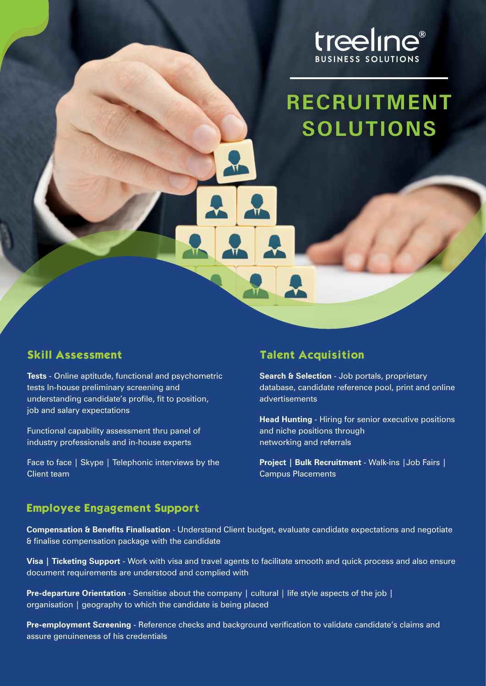

# **RECRUITMENT SOLUTIONS**

#### **Skill Assessment**

**Tests** - Online aptitude, functional and psychometric tests In-house preliminary screening and understanding candidate's profile, fit to position, job and salary expectations

Functional capability assessment thru panel of industry professionals and in-house experts

Face to face | Skype | Telephonic interviews by the Client team

### **Talent Acquisition**

**Search & Selection** - Job portals, proprietary database, candidate reference pool, print and online advertisements

**Head Hunting** - Hiring for senior executive positions and niche positions through networking and referrals

**Project | Bulk Recruitment** - Walk-ins |Job Fairs | Campus Placements

#### **Employee Engagement Support**

**Compensation & Benefits Finalisation** - Understand Client budget, evaluate candidate expectations and negotiate & finalise compensation package with the candidate

**Visa | Ticketing Support** - Work with visa and travel agents to facilitate smooth and quick process and also ensure document requirements are understood and complied with

**Pre-departure Orientation** - Sensitise about the company | cultural | life style aspects of the job | organisation | geography to which the candidate is being placed

**Pre-employment Screening** - Reference checks and background verification to validate candidate's claims and assure genuineness of his credentials